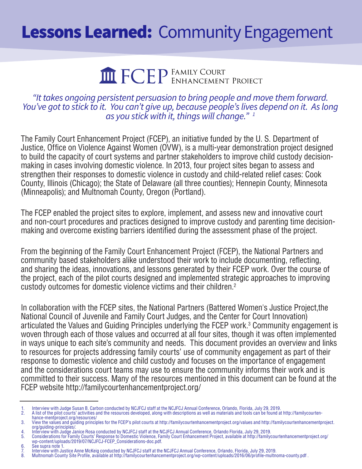## **Lessons Learned: Community Engagement**

# **THE FCEP** FAMILY COURT PROJECT

#### *"It takes ongoing persistent persuasion to bring people and move them forward. You've got to stick to it. You can't give up, because people's lives depend on it. As long as you stick with it, things will change." 1*

The Family Court Enhancement Project (FCEP), an initiative funded by the U. S. Department of Justice, Office on Violence Against Women (OVW), is a multi-year demonstration project designed to build the capacity of court systems and partner stakeholders to improve child custody decisionmaking in cases involving domestic violence. In 2013, four project sites began to assess and strengthen their responses to domestic violence in custody and child-related relief cases: Cook County, Illinois (Chicago); the State of Delaware (all three counties); Hennepin County, Minnesota (Minneapolis); and Multnomah County, Oregon (Portland).

The FCEP enabled the project sites to explore, implement, and assess new and innovative court and non-court procedures and practices designed to improve custody and parenting time decisionmaking and overcome existing barriers identified during the assessment phase of the project.

From the beginning of the Family Court Enhancement Project (FCEP), the National Partners and community based stakeholders alike understood their work to include documenting, reflecting, and sharing the ideas, innovations, and lessons generated by their FCEP work. Over the course of the project, each of the pilot courts designed and implemented strategic approaches to improving custody outcomes for domestic violence victims and their children.2

In collaboration with the FCEP sites, the National Partners (Battered Women's Justice Project,the National Council of Juvenile and Family Court Judges, and the Center for Court Innovation) articulated the Values and Guiding Principles underlying the FCEP work.<sup>3</sup> Community engagement is woven through each of those values and occurred at all four sites, though it was often implemented in ways unique to each site's community and needs. This document provides an overview and links to resources for projects addressing family courts' use of community engagement as part of their response to domestic violence and child custody and focuses on the importance of engagement and the considerations court teams may use to ensure the community informs their work and is committed to their success. Many of the resources mentioned in this document can be found at the FCEP website http://familycourtenhancementproject.org/

6. See supra note 1.

<sup>1.</sup> Interview with Judge Susan B. Carbon conducted by NCJFCJ staff at the NCJFCJ Annual Conference, Orlando, Florida, July 29, 2019.<br>2. A list of the pilot courts' activities and the resources developed, along with descript

<sup>2.</sup> A list of the pilot courts' activities and the resources developed, along with descriptions as well as materials and tools can be found at http://familycourtenhance-mentproject.org/resources/

<sup>3.</sup> View the values and guiding principles for the FCEP's pilot courts at http://familycourtenhancementproject.org/values and http://familycourtenhancementproject. org/guiding-principles/. 4. Interview with Judge Janice Rosa conducted by NCJFCJ staff at the NCJFCJ Annual Conference, Orlando Florida, July 29, 2019.

<sup>5.</sup> Considerations for Family Courts' Response to Domestic Violence, Family Court Enhancement Project, available at http://familycourtenhancementproject.org/ wp-content/uploads/2019/07/NCJFCJ-FCEP\_Considerations-doc.pdf.

<sup>7.</sup> Interview with Justice Anne McKeig conducted by NCJFCJ staff at the NCJFCJ Annual Conference, Orlando, Florida, July 29, 2019.

<sup>8.</sup> Multnomah County Site Profile, available at http://familycourtenhancementproject.org/wp-content/uploads/2016/06/profile-multnoma-county.pdf .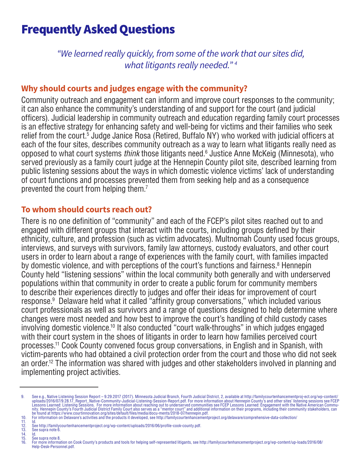### Frequently Asked Questions

*"We learned really quickly, from some of the work that our sites did, what litigants really needed." 4*

#### **Why should courts and judges engage with the community?**

Community outreach and engagement can inform and improve court responses to the community; it can also enhance the community's understanding of and support for the court (and judicial officers). Judicial leadership in community outreach and education regarding family court processes is an effective strategy for enhancing safety and well-being for victims and their families who seek relief from the court.<sup>5</sup> Judge Janice Rosa (Retired, Buffalo NY) who worked with judicial officers at each of the four sites, describes community outreach as a way to learn what litigants really need as opposed to what court systems *think* those litigants need.<sup>6</sup> Justice Anne McKeig (Minnesota), who served previously as a family court judge at the Hennepin County pilot site, described learning from public listening sessions about the ways in which domestic violence victims' lack of understanding of court functions and processes prevented them from seeking help and as a consequence prevented the court from helping them.7

#### **To whom should courts reach out?**

There is no one definition of "community" and each of the FCEP's pilot sites reached out to and engaged with different groups that interact with the courts, including groups defined by their ethnicity, culture, and profession (such as victim advocates). Multnomah County used focus groups, interviews, and surveys with survivors, family law attorneys, custody evaluators, and other court users in order to learn about a range of experiences with the family court, with families impacted by domestic violence, and with perceptions of the court's functions and fairness.<sup>8</sup> Hennepin County held "listening sessions" within the local community both generally and with underserved populations within that community in order to create a public forum for community members to describe their experiences directly to judges and offer their ideas for improvement of court response.<sup>9</sup> Delaware held what it called "affinity group conversations," which included various court professionals as well as survivors and a range of questions designed to help determine where changes were most needed and how best to improve the court's handling of child custody cases involving domestic violence.10 It also conducted "court walk-throughs" in which judges engaged with their court system in the shoes of litigants in order to learn how families perceived court processes.11 Cook County convened focus group conversations, in English and in Spanish, with victim-parents who had obtained a civil protection order from the court and those who did not seek an order.12 The information was shared with judges and other stakeholders involved in planning and implementing project activities.

15. See supra note 8.<br>16. For more informa

See e.g., Native Listening Session Report – 9.29.2017 (2017). Minnesota Judicial Branch, Fourth Judicial District, 2, available at http://familycourtenhancementproj-ect.org/wp-content/<br>uploads/2016/97/9.28.17\_Report\_Native

<sup>11.</sup> Id. 12. See http://familycourtenhancementproject.org/wp-content/uploads/2016/06/profile-cook-county.pdf.

See supra note 6.<br>Id 11.<br>12.<br>13.<br>14.<br>15.

<sup>16.</sup> For more information on Cook County's products and tools for helping self-represented litigants, see http://familycourtenhancementproject.org/wp-content/up-loads/2016/08/ Help-Desk-Personnel.pdf.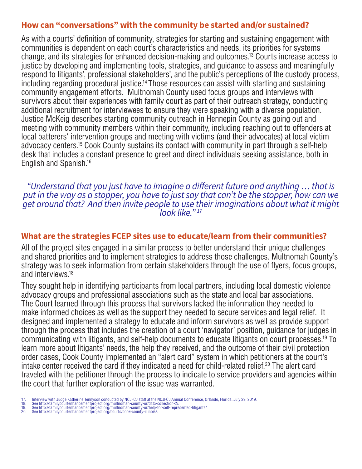#### **How can "conversations" with the community be started and/or sustained?**

As with a courts' definition of community, strategies for starting and sustaining engagement with communities is dependent on each court's characteristics and needs, its priorities for systems change, and its strategies for enhanced decision-making and outcomes.13 Courts increase access to justice by developing and implementing tools, strategies, and guidance to assess and meaningfully respond to litigants', professional stakeholders', and the public's perceptions of the custody process, including regarding procedural justice.14 Those resources can assist with starting and sustaining community engagement efforts. Multnomah County used focus groups and interviews with survivors about their experiences with family court as part of their outreach strategy, conducting additional recruitment for interviewees to ensure they were speaking with a diverse population. Justice McKeig describes starting community outreach in Hennepin County as going out and meeting with community members within their community, including reaching out to offenders at local batterers' intervention groups and meeting with victims (and their advocates) at local victim advocacy centers.15 Cook County sustains its contact with community in part through a self-help desk that includes a constant presence to greet and direct individuals seeking assistance, both in English and Spanish.16

#### *"Understand that you just have to imagine a different future and anything … that is put in the way as a stopper, you have to just say that can't be the stopper, how can we get around that? And then invite people to use their imaginations about what it might look like." 17*

#### **What are the strategies FCEP sites use to educate/learn from their communities?**

All of the project sites engaged in a similar process to better understand their unique challenges and shared priorities and to implement strategies to address those challenges. Multnomah County's strategy was to seek information from certain stakeholders through the use of flyers, focus groups, and interviews.18

They sought help in identifying participants from local partners, including local domestic violence advocacy groups and professional associations such as the state and local bar associations. The Court learned through this process that survivors lacked the information they needed to make informed choices as well as the support they needed to secure services and legal relief. It designed and implemented a strategy to educate and inform survivors as well as provide support through the process that includes the creation of a court 'navigator' position, guidance for judges in communicating with litigants, and self-help documents to educate litigants on court processes.19 To learn more about litigants' needs, the help they received, and the outcome of their civil protection order cases, Cook County implemented an "alert card" system in which petitioners at the court's intake center received the card if they indicated a need for child-related relief.<sup>20</sup> The alert card traveled with the petitioner through the process to indicate to service providers and agencies within the court that further exploration of the issue was warranted.

<sup>17.</sup> Interview with Judge Katherine Tennyson conducted by NCJFCJ staff at the NCJFCJ Annual Conference, Orlando, Florida, July 29, 2019.<br>18. See http://familycourtenhancementproject.org/multnomah-county-or/data-colle

<sup>20.</sup> See http://familycourtenhancementproject.org/courts/cook-county-illinois/.